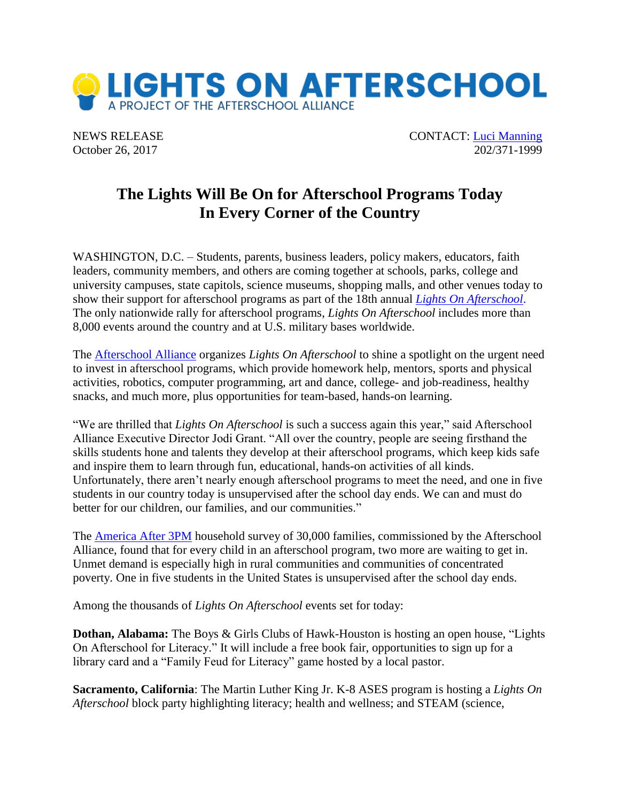

NEWS RELEASE CONTACT: [Luci Manning](mailto:luci@prsolutionsdc.com) October 26, 2017 202/371-1999

## **The Lights Will Be On for Afterschool Programs Today In Every Corner of the Country**

WASHINGTON, D.C. – Students, parents, business leaders, policy makers, educators, faith leaders, community members, and others are coming together at schools, parks, college and university campuses, state capitols, science museums, shopping malls, and other venues today to show their support for afterschool programs as part of the 18th annual *[Lights On Afterschool](http://www.afterschoolalliance.org/loa.cfm)*. The only nationwide rally for afterschool programs, *Lights On Afterschool* includes more than 8,000 events around the country and at U.S. military bases worldwide.

The [Afterschool Alliance](http://www.afterschoolalliance.org/) organizes *Lights On Afterschool* to shine a spotlight on the urgent need to invest in afterschool programs, which provide homework help, mentors, sports and physical activities, robotics, computer programming, art and dance, college- and job-readiness, healthy snacks, and much more, plus opportunities for team-based, hands-on learning.

"We are thrilled that *Lights On Afterschool* is such a success again this year," said Afterschool Alliance Executive Director Jodi Grant. "All over the country, people are seeing firsthand the skills students hone and talents they develop at their afterschool programs, which keep kids safe and inspire them to learn through fun, educational, hands-on activities of all kinds. Unfortunately, there aren't nearly enough afterschool programs to meet the need, and one in five students in our country today is unsupervised after the school day ends. We can and must do better for our children, our families, and our communities."

The [America After 3PM](http://www.afterschoolalliance.org/AA3PM/) household survey of 30,000 families, commissioned by the Afterschool Alliance, found that for every child in an afterschool program, two more are waiting to get in. Unmet demand is especially high in rural communities and communities of concentrated poverty. One in five students in the United States is unsupervised after the school day ends.

Among the thousands of *Lights On Afterschool* events set for today:

**Dothan, Alabama:** The Boys & Girls Clubs of Hawk-Houston is hosting an open house, "Lights On Afterschool for Literacy." It will include a free book fair, opportunities to sign up for a library card and a "Family Feud for Literacy" game hosted by a local pastor.

**Sacramento, California**: The Martin Luther King Jr. K-8 ASES program is hosting a *Lights On Afterschool* block party highlighting literacy; health and wellness; and STEAM (science,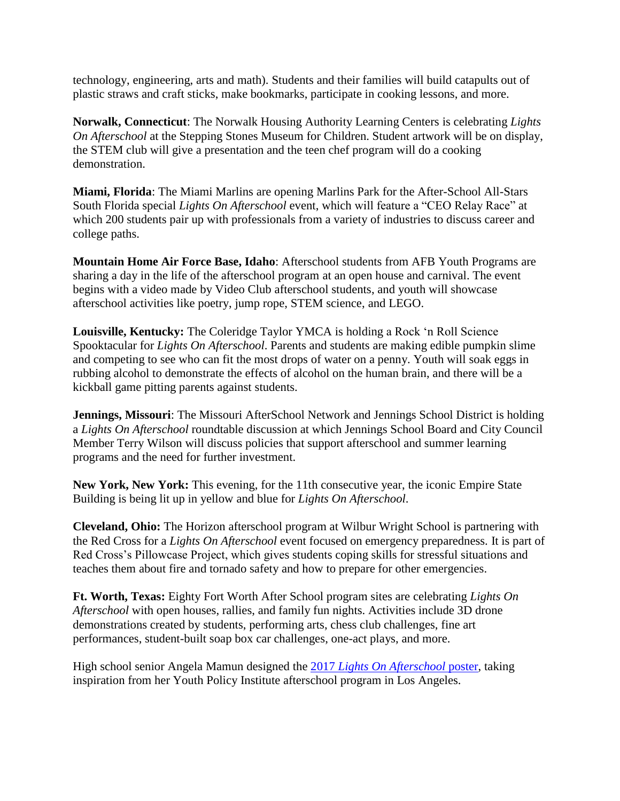technology, engineering, arts and math). Students and their families will build catapults out of plastic straws and craft sticks, make bookmarks, participate in cooking lessons, and more.

**Norwalk, Connecticut**: The Norwalk Housing Authority Learning Centers is celebrating *Lights On Afterschool* at the Stepping Stones Museum for Children. Student artwork will be on display, the STEM club will give a presentation and the teen chef program will do a cooking demonstration.

**Miami, Florida**: The Miami Marlins are opening Marlins Park for the After-School All-Stars South Florida special *Lights On Afterschool* event, which will feature a "CEO Relay Race" at which 200 students pair up with professionals from a variety of industries to discuss career and college paths.

**Mountain Home Air Force Base, Idaho**: Afterschool students from AFB Youth Programs are sharing a day in the life of the afterschool program at an open house and carnival. The event begins with a video made by Video Club afterschool students, and youth will showcase afterschool activities like poetry, jump rope, STEM science, and LEGO.

**Louisville, Kentucky:** The Coleridge Taylor YMCA is holding a Rock 'n Roll Science Spooktacular for *Lights On Afterschool*. Parents and students are making edible pumpkin slime and competing to see who can fit the most drops of water on a penny. Youth will soak eggs in rubbing alcohol to demonstrate the effects of alcohol on the human brain, and there will be a kickball game pitting parents against students.

**Jennings, Missouri**: The Missouri AfterSchool Network and Jennings School District is holding a *Lights On Afterschool* roundtable discussion at which Jennings School Board and City Council Member Terry Wilson will discuss policies that support afterschool and summer learning programs and the need for further investment.

**New York, New York:** This evening, for the 11th consecutive year, the iconic Empire State Building is being lit up in yellow and blue for *Lights On Afterschool*.

**Cleveland, Ohio:** The Horizon afterschool program at Wilbur Wright School is partnering with the Red Cross for a *Lights On Afterschool* event focused on emergency preparedness. It is part of Red Cross's Pillowcase Project, which gives students coping skills for stressful situations and teaches them about fire and tornado safety and how to prepare for other emergencies.

**Ft. Worth, Texas:** Eighty Fort Worth After School program sites are celebrating *Lights On Afterschool* with open houses, rallies, and family fun nights. Activities include 3D drone demonstrations created by students, performing arts, chess club challenges, fine art performances, student-built soap box car challenges, one-act plays, and more.

High school senior Angela Mamun designed the 2017 *[Lights On Afterschool](http://afterschoolalliance.org/imgs/2017_loaposter.jpg)* poster, taking inspiration from her Youth Policy Institute afterschool program in Los Angeles.